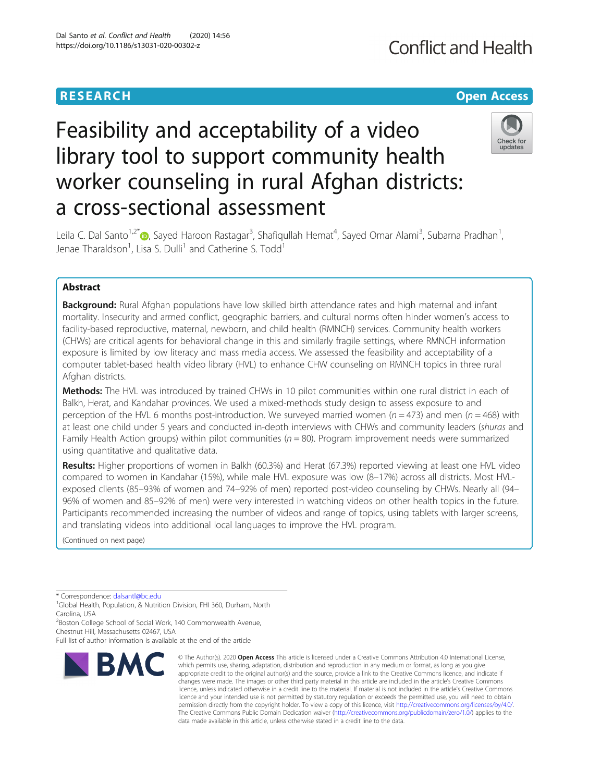# **RESEARCH CHE Open Access**

# Feasibility and acceptability of a video library tool to support community health worker counseling in rural Afghan districts: a cross-sectional assessment



Leila C. Dal Santo<sup>1,2\*</sup>@, Sayed Haroon Rastagar<sup>3</sup>, Shafiqullah Hemat<sup>4</sup>, Sayed Omar Alami<sup>3</sup>, Subarna Pradhan<sup>1</sup> , Jenae Tharaldson<sup>1</sup>, Lisa S. Dulli<sup>1</sup> and Catherine S. Todd<sup>1</sup>

# Abstract

**Background:** Rural Afghan populations have low skilled birth attendance rates and high maternal and infant mortality. Insecurity and armed conflict, geographic barriers, and cultural norms often hinder women's access to facility-based reproductive, maternal, newborn, and child health (RMNCH) services. Community health workers (CHWs) are critical agents for behavioral change in this and similarly fragile settings, where RMNCH information exposure is limited by low literacy and mass media access. We assessed the feasibility and acceptability of a computer tablet-based health video library (HVL) to enhance CHW counseling on RMNCH topics in three rural Afghan districts.

Methods: The HVL was introduced by trained CHWs in 10 pilot communities within one rural district in each of Balkh, Herat, and Kandahar provinces. We used a mixed-methods study design to assess exposure to and perception of the HVL 6 months post-introduction. We surveyed married women ( $n = 473$ ) and men ( $n = 468$ ) with at least one child under 5 years and conducted in-depth interviews with CHWs and community leaders (shuras and Family Health Action groups) within pilot communities ( $n = 80$ ). Program improvement needs were summarized using quantitative and qualitative data.

Results: Higher proportions of women in Balkh (60.3%) and Herat (67.3%) reported viewing at least one HVL video compared to women in Kandahar (15%), while male HVL exposure was low (8–17%) across all districts. Most HVLexposed clients (85–93% of women and 74–92% of men) reported post-video counseling by CHWs. Nearly all (94– 96% of women and 85–92% of men) were very interested in watching videos on other health topics in the future. Participants recommended increasing the number of videos and range of topics, using tablets with larger screens, and translating videos into additional local languages to improve the HVL program.

(Continued on next page)

\* Correspondence: [dalsantl@bc.edu](mailto:dalsantl@bc.edu) <sup>1</sup>

<sup>1</sup>Global Health, Population, & Nutrition Division, FHI 360, Durham, North Carolina, USA

<sup>2</sup> Boston College School of Social Work, 140 Commonwealth Avenue, Chestnut Hill, Massachusetts 02467, USA

Full list of author information is available at the end of the article



<sup>©</sup> The Author(s), 2020 **Open Access** This article is licensed under a Creative Commons Attribution 4.0 International License, which permits use, sharing, adaptation, distribution and reproduction in any medium or format, as long as you give appropriate credit to the original author(s) and the source, provide a link to the Creative Commons licence, and indicate if changes were made. The images or other third party material in this article are included in the article's Creative Commons licence, unless indicated otherwise in a credit line to the material. If material is not included in the article's Creative Commons licence and your intended use is not permitted by statutory regulation or exceeds the permitted use, you will need to obtain permission directly from the copyright holder. To view a copy of this licence, visit [http://creativecommons.org/licenses/by/4.0/.](http://creativecommons.org/licenses/by/4.0/) The Creative Commons Public Domain Dedication waiver [\(http://creativecommons.org/publicdomain/zero/1.0/](http://creativecommons.org/publicdomain/zero/1.0/)) applies to the data made available in this article, unless otherwise stated in a credit line to the data.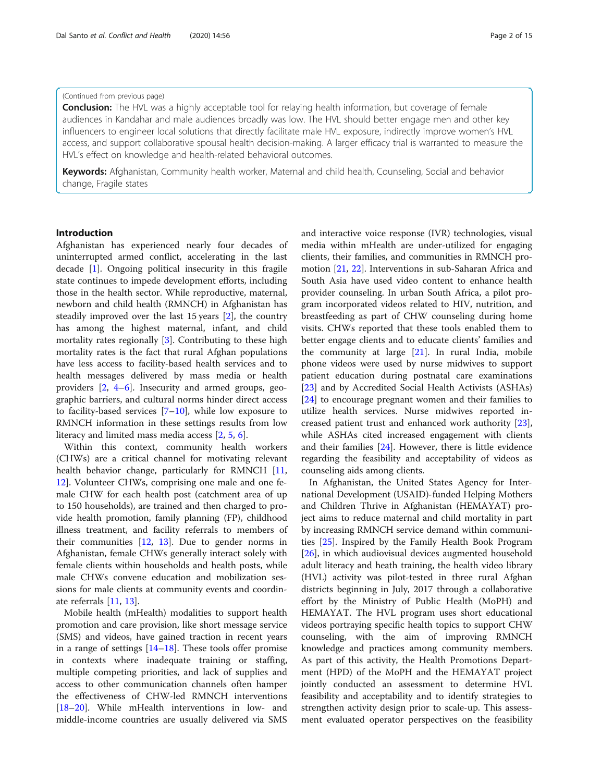# (Continued from previous page)

**Conclusion:** The HVL was a highly acceptable tool for relaying health information, but coverage of female audiences in Kandahar and male audiences broadly was low. The HVL should better engage men and other key influencers to engineer local solutions that directly facilitate male HVL exposure, indirectly improve women's HVL access, and support collaborative spousal health decision-making. A larger efficacy trial is warranted to measure the HVL's effect on knowledge and health-related behavioral outcomes.

Keywords: Afghanistan, Community health worker, Maternal and child health, Counseling, Social and behavior change, Fragile states

# Introduction

Afghanistan has experienced nearly four decades of uninterrupted armed conflict, accelerating in the last decade [\[1](#page-13-0)]. Ongoing political insecurity in this fragile state continues to impede development efforts, including those in the health sector. While reproductive, maternal, newborn and child health (RMNCH) in Afghanistan has steadily improved over the last 15 years [\[2](#page-13-0)], the country has among the highest maternal, infant, and child mortality rates regionally [[3](#page-13-0)]. Contributing to these high mortality rates is the fact that rural Afghan populations have less access to facility-based health services and to health messages delivered by mass media or health providers [\[2,](#page-13-0) [4](#page-13-0)–[6\]](#page-13-0). Insecurity and armed groups, geographic barriers, and cultural norms hinder direct access to facility-based services [\[7](#page-13-0)–[10\]](#page-13-0), while low exposure to RMNCH information in these settings results from low literacy and limited mass media access [[2,](#page-13-0) [5,](#page-13-0) [6\]](#page-13-0).

Within this context, community health workers (CHWs) are a critical channel for motivating relevant health behavior change, particularly for RMNCH [[11](#page-13-0), [12\]](#page-13-0). Volunteer CHWs, comprising one male and one female CHW for each health post (catchment area of up to 150 households), are trained and then charged to provide health promotion, family planning (FP), childhood illness treatment, and facility referrals to members of their communities [\[12,](#page-13-0) [13](#page-13-0)]. Due to gender norms in Afghanistan, female CHWs generally interact solely with female clients within households and health posts, while male CHWs convene education and mobilization sessions for male clients at community events and coordinate referrals [\[11,](#page-13-0) [13\]](#page-13-0).

Mobile health (mHealth) modalities to support health promotion and care provision, like short message service (SMS) and videos, have gained traction in recent years in a range of settings  $[14–18]$  $[14–18]$  $[14–18]$ . These tools offer promise in contexts where inadequate training or staffing, multiple competing priorities, and lack of supplies and access to other communication channels often hamper the effectiveness of CHW-led RMNCH interventions [[18](#page-13-0)–[20](#page-13-0)]. While mHealth interventions in low- and middle-income countries are usually delivered via SMS and interactive voice response (IVR) technologies, visual media within mHealth are under-utilized for engaging clients, their families, and communities in RMNCH promotion [\[21](#page-14-0), [22](#page-14-0)]. Interventions in sub-Saharan Africa and South Asia have used video content to enhance health provider counseling. In urban South Africa, a pilot program incorporated videos related to HIV, nutrition, and breastfeeding as part of CHW counseling during home visits. CHWs reported that these tools enabled them to better engage clients and to educate clients' families and the community at large  $[21]$  $[21]$  $[21]$ . In rural India, mobile phone videos were used by nurse midwives to support patient education during postnatal care examinations [[23\]](#page-14-0) and by Accredited Social Health Activists (ASHAs) [[24\]](#page-14-0) to encourage pregnant women and their families to utilize health services. Nurse midwives reported increased patient trust and enhanced work authority [\[23](#page-14-0)], while ASHAs cited increased engagement with clients and their families [[24\]](#page-14-0). However, there is little evidence regarding the feasibility and acceptability of videos as counseling aids among clients.

In Afghanistan, the United States Agency for International Development (USAID)-funded Helping Mothers and Children Thrive in Afghanistan (HEMAYAT) project aims to reduce maternal and child mortality in part by increasing RMNCH service demand within communities [\[25\]](#page-14-0). Inspired by the Family Health Book Program [[26\]](#page-14-0), in which audiovisual devices augmented household adult literacy and heath training, the health video library (HVL) activity was pilot-tested in three rural Afghan districts beginning in July, 2017 through a collaborative effort by the Ministry of Public Health (MoPH) and HEMAYAT. The HVL program uses short educational videos portraying specific health topics to support CHW counseling, with the aim of improving RMNCH knowledge and practices among community members. As part of this activity, the Health Promotions Department (HPD) of the MoPH and the HEMAYAT project jointly conducted an assessment to determine HVL feasibility and acceptability and to identify strategies to strengthen activity design prior to scale-up. This assessment evaluated operator perspectives on the feasibility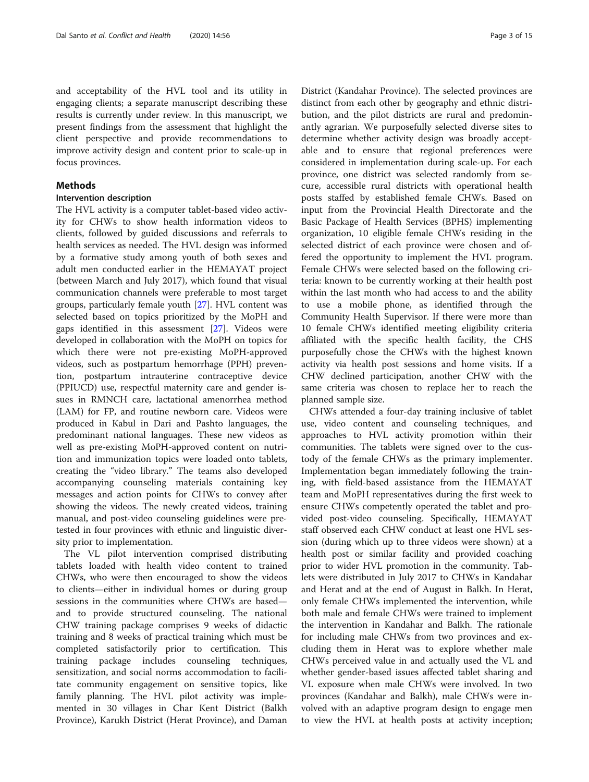and acceptability of the HVL tool and its utility in engaging clients; a separate manuscript describing these results is currently under review. In this manuscript, we present findings from the assessment that highlight the client perspective and provide recommendations to improve activity design and content prior to scale-up in focus provinces.

# **Methods**

# Intervention description

The HVL activity is a computer tablet-based video activity for CHWs to show health information videos to clients, followed by guided discussions and referrals to health services as needed. The HVL design was informed by a formative study among youth of both sexes and adult men conducted earlier in the HEMAYAT project (between March and July 2017), which found that visual communication channels were preferable to most target groups, particularly female youth [[27](#page-14-0)]. HVL content was selected based on topics prioritized by the MoPH and gaps identified in this assessment [[27\]](#page-14-0). Videos were developed in collaboration with the MoPH on topics for which there were not pre-existing MoPH-approved videos, such as postpartum hemorrhage (PPH) prevention, postpartum intrauterine contraceptive device (PPIUCD) use, respectful maternity care and gender issues in RMNCH care, lactational amenorrhea method (LAM) for FP, and routine newborn care. Videos were produced in Kabul in Dari and Pashto languages, the predominant national languages. These new videos as well as pre-existing MoPH-approved content on nutrition and immunization topics were loaded onto tablets, creating the "video library." The teams also developed accompanying counseling materials containing key messages and action points for CHWs to convey after showing the videos. The newly created videos, training manual, and post-video counseling guidelines were pretested in four provinces with ethnic and linguistic diversity prior to implementation.

The VL pilot intervention comprised distributing tablets loaded with health video content to trained CHWs, who were then encouraged to show the videos to clients—either in individual homes or during group sessions in the communities where CHWs are based and to provide structured counseling. The national CHW training package comprises 9 weeks of didactic training and 8 weeks of practical training which must be completed satisfactorily prior to certification. This training package includes counseling techniques, sensitization, and social norms accommodation to facilitate community engagement on sensitive topics, like family planning. The HVL pilot activity was implemented in 30 villages in Char Kent District (Balkh Province), Karukh District (Herat Province), and Daman District (Kandahar Province). The selected provinces are distinct from each other by geography and ethnic distribution, and the pilot districts are rural and predominantly agrarian. We purposefully selected diverse sites to determine whether activity design was broadly acceptable and to ensure that regional preferences were considered in implementation during scale-up. For each province, one district was selected randomly from secure, accessible rural districts with operational health posts staffed by established female CHWs. Based on input from the Provincial Health Directorate and the Basic Package of Health Services (BPHS) implementing organization, 10 eligible female CHWs residing in the selected district of each province were chosen and offered the opportunity to implement the HVL program. Female CHWs were selected based on the following criteria: known to be currently working at their health post within the last month who had access to and the ability to use a mobile phone, as identified through the Community Health Supervisor. If there were more than 10 female CHWs identified meeting eligibility criteria affiliated with the specific health facility, the CHS purposefully chose the CHWs with the highest known activity via health post sessions and home visits. If a CHW declined participation, another CHW with the same criteria was chosen to replace her to reach the planned sample size.

CHWs attended a four-day training inclusive of tablet use, video content and counseling techniques, and approaches to HVL activity promotion within their communities. The tablets were signed over to the custody of the female CHWs as the primary implementer. Implementation began immediately following the training, with field-based assistance from the HEMAYAT team and MoPH representatives during the first week to ensure CHWs competently operated the tablet and provided post-video counseling. Specifically, HEMAYAT staff observed each CHW conduct at least one HVL session (during which up to three videos were shown) at a health post or similar facility and provided coaching prior to wider HVL promotion in the community. Tablets were distributed in July 2017 to CHWs in Kandahar and Herat and at the end of August in Balkh. In Herat, only female CHWs implemented the intervention, while both male and female CHWs were trained to implement the intervention in Kandahar and Balkh. The rationale for including male CHWs from two provinces and excluding them in Herat was to explore whether male CHWs perceived value in and actually used the VL and whether gender-based issues affected tablet sharing and VL exposure when male CHWs were involved. In two provinces (Kandahar and Balkh), male CHWs were involved with an adaptive program design to engage men to view the HVL at health posts at activity inception;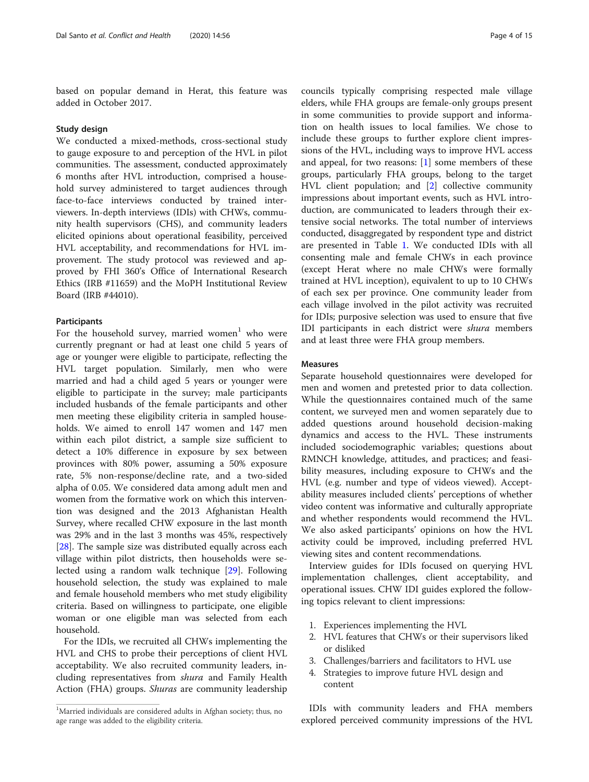based on popular demand in Herat, this feature was added in October 2017.

# Study design

We conducted a mixed-methods, cross-sectional study to gauge exposure to and perception of the HVL in pilot communities. The assessment, conducted approximately 6 months after HVL introduction, comprised a household survey administered to target audiences through face-to-face interviews conducted by trained interviewers. In-depth interviews (IDIs) with CHWs, community health supervisors (CHS), and community leaders elicited opinions about operational feasibility, perceived HVL acceptability, and recommendations for HVL improvement. The study protocol was reviewed and approved by FHI 360's Office of International Research Ethics (IRB #11659) and the MoPH Institutional Review Board (IRB #44010).

# Participants

For the household survey, married women<sup>1</sup> who were currently pregnant or had at least one child 5 years of age or younger were eligible to participate, reflecting the HVL target population. Similarly, men who were married and had a child aged 5 years or younger were eligible to participate in the survey; male participants included husbands of the female participants and other men meeting these eligibility criteria in sampled households. We aimed to enroll 147 women and 147 men within each pilot district, a sample size sufficient to detect a 10% difference in exposure by sex between provinces with 80% power, assuming a 50% exposure rate, 5% non-response/decline rate, and a two-sided alpha of 0.05. We considered data among adult men and women from the formative work on which this intervention was designed and the 2013 Afghanistan Health Survey, where recalled CHW exposure in the last month was 29% and in the last 3 months was 45%, respectively [[28\]](#page-14-0). The sample size was distributed equally across each village within pilot districts, then households were selected using a random walk technique [[29](#page-14-0)]. Following household selection, the study was explained to male and female household members who met study eligibility criteria. Based on willingness to participate, one eligible woman or one eligible man was selected from each household.

For the IDIs, we recruited all CHWs implementing the HVL and CHS to probe their perceptions of client HVL acceptability. We also recruited community leaders, including representatives from shura and Family Health Action (FHA) groups. Shuras are community leadership councils typically comprising respected male village elders, while FHA groups are female-only groups present in some communities to provide support and information on health issues to local families. We chose to include these groups to further explore client impressions of the HVL, including ways to improve HVL access and appeal, for two reasons:  $[1]$  $[1]$  some members of these groups, particularly FHA groups, belong to the target HVL client population; and [\[2](#page-13-0)] collective community impressions about important events, such as HVL introduction, are communicated to leaders through their extensive social networks. The total number of interviews conducted, disaggregated by respondent type and district are presented in Table [1](#page-4-0). We conducted IDIs with all consenting male and female CHWs in each province (except Herat where no male CHWs were formally trained at HVL inception), equivalent to up to 10 CHWs of each sex per province. One community leader from each village involved in the pilot activity was recruited for IDIs; purposive selection was used to ensure that five IDI participants in each district were shura members and at least three were FHA group members.

# Measures

Separate household questionnaires were developed for men and women and pretested prior to data collection. While the questionnaires contained much of the same content, we surveyed men and women separately due to added questions around household decision-making dynamics and access to the HVL. These instruments included sociodemographic variables; questions about RMNCH knowledge, attitudes, and practices; and feasibility measures, including exposure to CHWs and the HVL (e.g. number and type of videos viewed). Acceptability measures included clients' perceptions of whether video content was informative and culturally appropriate and whether respondents would recommend the HVL. We also asked participants' opinions on how the HVL activity could be improved, including preferred HVL viewing sites and content recommendations.

Interview guides for IDIs focused on querying HVL implementation challenges, client acceptability, and operational issues. CHW IDI guides explored the following topics relevant to client impressions:

- 1. Experiences implementing the HVL
- 2. HVL features that CHWs or their supervisors liked or disliked
- 3. Challenges/barriers and facilitators to HVL use
- 4. Strategies to improve future HVL design and content

IDIs with community leaders and FHA members explored perceived community impressions of the HVL

 $^1$ Married individuals are considered adults in Afghan society; thus, no age range was added to the eligibility criteria.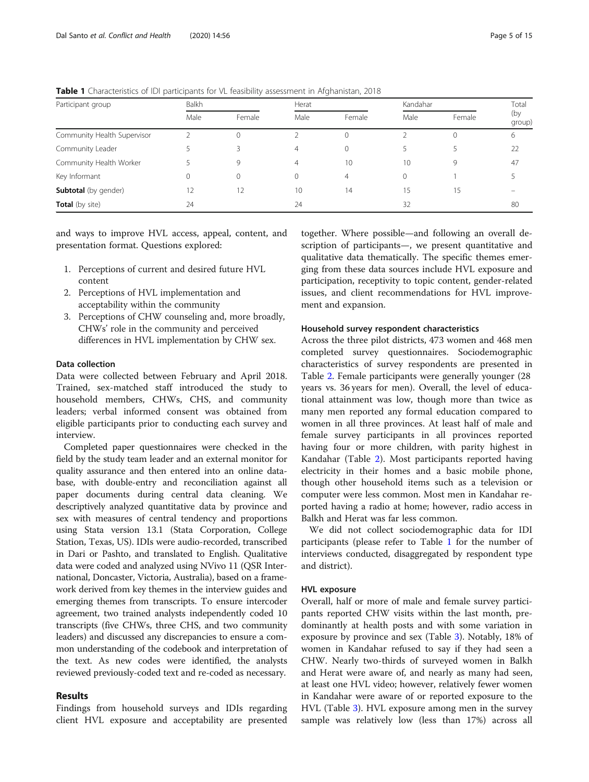| Participant group           | <b>Balkh</b> |          |             | Herat   |      | Kandahar |               |
|-----------------------------|--------------|----------|-------------|---------|------|----------|---------------|
|                             | Male         | Female   | Male        | Female  | Male | Female   | (by<br>group) |
| Community Health Supervisor |              | $\Omega$ |             | $\circ$ |      | 0        | 6             |
| Community Leader            |              | 3        | 4           | $\circ$ |      |          | 22            |
| Community Health Worker     |              | 9        | 4           | 10      | 10   | 9        | 47            |
| Key Informant               | $\mathbf 0$  | 0        | $\mathbf 0$ | 4       | 0    |          |               |
| <b>Subtotal</b> (by gender) | 12           | 12       | 10          | 14      | 15   | 15       |               |
| Total (by site)             | 24           |          | 24          |         | 32   |          | 80            |

<span id="page-4-0"></span>Table 1 Characteristics of IDI participants for VL feasibility assessment in Afghanistan, 2018

and ways to improve HVL access, appeal, content, and presentation format. Questions explored:

- 1. Perceptions of current and desired future HVL content
- 2. Perceptions of HVL implementation and acceptability within the community
- 3. Perceptions of CHW counseling and, more broadly, CHWs' role in the community and perceived differences in HVL implementation by CHW sex.

# Data collection

Data were collected between February and April 2018. Trained, sex-matched staff introduced the study to household members, CHWs, CHS, and community leaders; verbal informed consent was obtained from eligible participants prior to conducting each survey and interview.

Completed paper questionnaires were checked in the field by the study team leader and an external monitor for quality assurance and then entered into an online database, with double-entry and reconciliation against all paper documents during central data cleaning. We descriptively analyzed quantitative data by province and sex with measures of central tendency and proportions using Stata version 13.1 (Stata Corporation, College Station, Texas, US). IDIs were audio-recorded, transcribed in Dari or Pashto, and translated to English. Qualitative data were coded and analyzed using NVivo 11 (QSR International, Doncaster, Victoria, Australia), based on a framework derived from key themes in the interview guides and emerging themes from transcripts. To ensure intercoder agreement, two trained analysts independently coded 10 transcripts (five CHWs, three CHS, and two community leaders) and discussed any discrepancies to ensure a common understanding of the codebook and interpretation of the text. As new codes were identified, the analysts reviewed previously-coded text and re-coded as necessary.

# Results

Findings from household surveys and IDIs regarding client HVL exposure and acceptability are presented

together. Where possible—and following an overall description of participants—, we present quantitative and qualitative data thematically. The specific themes emerging from these data sources include HVL exposure and participation, receptivity to topic content, gender-related issues, and client recommendations for HVL improvement and expansion.

# Household survey respondent characteristics

Across the three pilot districts, 473 women and 468 men completed survey questionnaires. Sociodemographic characteristics of survey respondents are presented in Table [2.](#page-5-0) Female participants were generally younger (28 years vs. 36 years for men). Overall, the level of educational attainment was low, though more than twice as many men reported any formal education compared to women in all three provinces. At least half of male and female survey participants in all provinces reported having four or more children, with parity highest in Kandahar (Table [2](#page-5-0)). Most participants reported having electricity in their homes and a basic mobile phone, though other household items such as a television or computer were less common. Most men in Kandahar reported having a radio at home; however, radio access in Balkh and Herat was far less common.

We did not collect sociodemographic data for IDI participants (please refer to Table 1 for the number of interviews conducted, disaggregated by respondent type and district).

# HVL exposure

Overall, half or more of male and female survey participants reported CHW visits within the last month, predominantly at health posts and with some variation in exposure by province and sex (Table [3\)](#page-6-0). Notably, 18% of women in Kandahar refused to say if they had seen a CHW. Nearly two-thirds of surveyed women in Balkh and Herat were aware of, and nearly as many had seen, at least one HVL video; however, relatively fewer women in Kandahar were aware of or reported exposure to the HVL (Table [3\)](#page-6-0). HVL exposure among men in the survey sample was relatively low (less than 17%) across all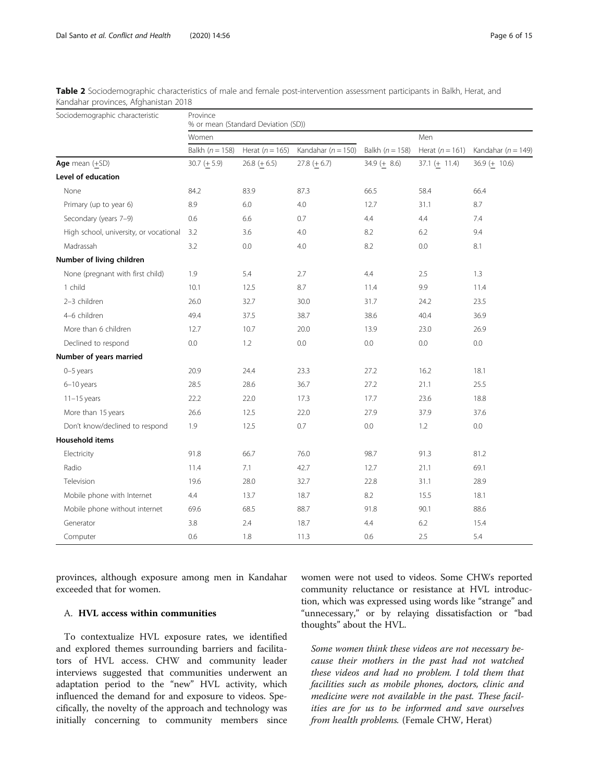<span id="page-5-0"></span>

|                                      | Table 2 Sociodemographic characteristics of male and female post-intervention assessment participants in Balkh, Herat, and |  |
|--------------------------------------|----------------------------------------------------------------------------------------------------------------------------|--|
| Kandahar provinces, Afghanistan 2018 |                                                                                                                            |  |

| Sociodemographic characteristic        | Province<br>% or mean (Standard Deviation (SD)) |                     |                        |                     |                     |                        |  |  |
|----------------------------------------|-------------------------------------------------|---------------------|------------------------|---------------------|---------------------|------------------------|--|--|
|                                        | Women                                           |                     |                        |                     | Men                 |                        |  |  |
|                                        | Balkh $(n = 158)$                               | Herat ( $n = 165$ ) | Kandahar ( $n = 150$ ) | Balkh ( $n = 158$ ) | Herat ( $n = 161$ ) | Kandahar ( $n = 149$ ) |  |  |
| Age mean (+SD)                         | 30.7 $(± 5.9)$                                  | $26.8 (+ 6.5)$      | 27.8 ( $+$ 6.7)        | 34.9 $(+ 8.6)$      | $37.1 (+ 11.4)$     | 36.9 $(+ 10.6)$        |  |  |
| Level of education                     |                                                 |                     |                        |                     |                     |                        |  |  |
| None                                   | 84.2                                            | 83.9                | 87.3                   | 66.5                | 58.4                | 66.4                   |  |  |
| Primary (up to year 6)                 | 8.9                                             | 6.0                 | 4.0                    | 12.7                | 31.1                | 8.7                    |  |  |
| Secondary (years 7-9)                  | 0.6                                             | 6.6                 | 0.7                    | 4.4                 | 4.4                 | 7.4                    |  |  |
| High school, university, or vocational | 3.2                                             | 3.6                 | 4.0                    | 8.2                 | 6.2                 | 9.4                    |  |  |
| Madrassah                              | 3.2                                             | 0.0                 | 4.0                    | 8.2                 | 0.0                 | 8.1                    |  |  |
| Number of living children              |                                                 |                     |                        |                     |                     |                        |  |  |
| None (pregnant with first child)       | 1.9                                             | 5.4                 | 2.7                    | 4.4                 | 2.5                 | 1.3                    |  |  |
| 1 child                                | 10.1                                            | 12.5                | 8.7                    | 11.4                | 9.9                 | 11.4                   |  |  |
| 2-3 children                           | 26.0                                            | 32.7                | 30.0                   | 31.7                | 24.2                | 23.5                   |  |  |
| 4-6 children                           | 49.4                                            | 37.5                | 38.7                   | 38.6                | 40.4                | 36.9                   |  |  |
| More than 6 children                   | 12.7                                            | 10.7                | 20.0                   | 13.9                | 23.0                | 26.9                   |  |  |
| Declined to respond                    | $0.0\,$                                         | 1.2                 | $0.0\,$                | $0.0\,$             | $0.0\,$             | 0.0                    |  |  |
| Number of years married                |                                                 |                     |                        |                     |                     |                        |  |  |
| $0-5$ years                            | 20.9                                            | 24.4                | 23.3                   | 27.2                | 16.2                | 18.1                   |  |  |
| 6-10 years                             | 28.5                                            | 28.6                | 36.7                   | 27.2                | 21.1                | 25.5                   |  |  |
| $11-15$ years                          | 22.2                                            | 22.0                | 17.3                   | 17.7                | 23.6                | 18.8                   |  |  |
| More than 15 years                     | 26.6                                            | 12.5                | 22.0                   | 27.9                | 37.9                | 37.6                   |  |  |
| Don't know/declined to respond         | 1.9                                             | 12.5                | 0.7                    | 0.0                 | $1.2\,$             | 0.0                    |  |  |
| Household items                        |                                                 |                     |                        |                     |                     |                        |  |  |
| Electricity                            | 91.8                                            | 66.7                | 76.0                   | 98.7                | 91.3                | 81.2                   |  |  |
| Radio                                  | 11.4                                            | 7.1                 | 42.7                   | 12.7                | 21.1                | 69.1                   |  |  |
| Television                             | 19.6                                            | 28.0                | 32.7                   | 22.8                | 31.1                | 28.9                   |  |  |
| Mobile phone with Internet             | 4.4                                             | 13.7                | 18.7                   | 8.2                 | 15.5                | 18.1                   |  |  |
| Mobile phone without internet          | 69.6                                            | 68.5                | 88.7                   | 91.8                | 90.1                | 88.6                   |  |  |
| Generator                              | 3.8                                             | 2.4                 | 18.7                   | 4.4                 | 6.2                 | 15.4                   |  |  |
| Computer                               | 0.6                                             | 1.8                 | 11.3                   | 0.6                 | 2.5                 | 5.4                    |  |  |

provinces, although exposure among men in Kandahar exceeded that for women.

# A. HVL access within communities

To contextualize HVL exposure rates, we identified and explored themes surrounding barriers and facilitators of HVL access. CHW and community leader interviews suggested that communities underwent an adaptation period to the "new" HVL activity, which influenced the demand for and exposure to videos. Specifically, the novelty of the approach and technology was initially concerning to community members since women were not used to videos. Some CHWs reported community reluctance or resistance at HVL introduction, which was expressed using words like "strange" and "unnecessary," or by relaying dissatisfaction or "bad thoughts" about the HVL.

Some women think these videos are not necessary because their mothers in the past had not watched these videos and had no problem. I told them that facilities such as mobile phones, doctors, clinic and medicine were not available in the past. These facilities are for us to be informed and save ourselves from health problems. (Female CHW, Herat)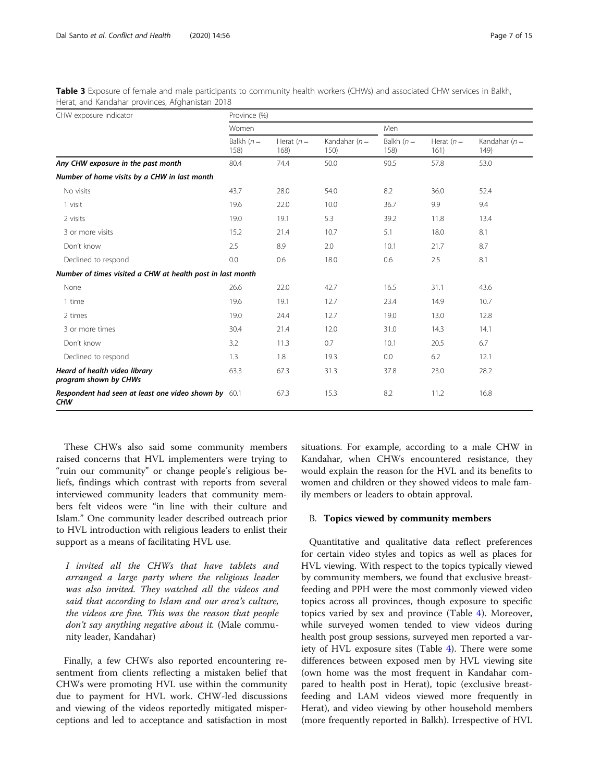<span id="page-6-0"></span>

| <b>Table 3</b> Exposure of female and male participants to community health workers (CHWs) and associated CHW services in Balkh, |  |
|----------------------------------------------------------------------------------------------------------------------------------|--|
| Herat, and Kandahar provinces, Afghanistan 2018                                                                                  |  |

| CHW exposure indicator                                             | Province (%)        |                      |                          |                     |                     |                          |  |  |
|--------------------------------------------------------------------|---------------------|----------------------|--------------------------|---------------------|---------------------|--------------------------|--|--|
|                                                                    | Women               |                      |                          | Men                 |                     |                          |  |  |
|                                                                    | Balkh $(n=$<br>158) | Herat $(n =$<br>168) | Kandahar ( $n =$<br>150) | Balkh $(n=$<br>158) | Herat $(n=$<br>161) | Kandahar ( $n =$<br>149) |  |  |
| Any CHW exposure in the past month                                 | 80.4                | 74.4                 | 50.0                     | 90.5                | 57.8                | 53.0                     |  |  |
| Number of home visits by a CHW in last month                       |                     |                      |                          |                     |                     |                          |  |  |
| No visits                                                          | 43.7                | 28.0                 | 54.0                     | 8.2                 | 36.0                | 52.4                     |  |  |
| 1 visit                                                            | 19.6                | 22.0                 | 10.0                     | 36.7                | 9.9                 | 9.4                      |  |  |
| 2 visits                                                           | 19.0                | 19.1                 | 5.3                      | 39.2                | 11.8                | 13.4                     |  |  |
| 3 or more visits                                                   | 15.2                | 21.4                 | 10.7                     | 5.1                 | 18.0                | 8.1                      |  |  |
| Don't know                                                         | 2.5                 | 8.9                  | 2.0                      | 10.1                | 21.7                | 8.7                      |  |  |
| Declined to respond                                                | 0.0                 | 0.6                  | 18.0                     | 0.6                 | 2.5                 | 8.1                      |  |  |
| Number of times visited a CHW at health post in last month         |                     |                      |                          |                     |                     |                          |  |  |
| None                                                               | 26.6                | 22.0                 | 42.7                     | 16.5                | 31.1                | 43.6                     |  |  |
| 1 time                                                             | 19.6                | 19.1                 | 12.7                     | 23.4                | 14.9                | 10.7                     |  |  |
| 2 times                                                            | 19.0                | 24.4                 | 12.7                     | 19.0                | 13.0                | 12.8                     |  |  |
| 3 or more times                                                    | 30.4                | 21.4                 | 12.0                     | 31.0                | 14.3                | 14.1                     |  |  |
| Don't know                                                         | 3.2                 | 11.3                 | 0.7                      | 10.1                | 20.5                | 6.7                      |  |  |
| Declined to respond                                                | 1.3                 | 1.8                  | 19.3                     | 0.0                 | 6.2                 | 12.1                     |  |  |
| Heard of health video library<br>program shown by CHWs             | 63.3                | 67.3                 | 31.3                     | 37.8                | 23.0                | 28.2                     |  |  |
| Respondent had seen at least one video shown by 60.1<br><b>CHW</b> |                     | 67.3                 | 15.3                     | 8.2                 | 11.2                | 16.8                     |  |  |

These CHWs also said some community members raised concerns that HVL implementers were trying to "ruin our community" or change people's religious beliefs, findings which contrast with reports from several interviewed community leaders that community members felt videos were "in line with their culture and Islam." One community leader described outreach prior to HVL introduction with religious leaders to enlist their support as a means of facilitating HVL use.

I invited all the CHWs that have tablets and arranged a large party where the religious leader was also invited. They watched all the videos and said that according to Islam and our area's culture, the videos are fine. This was the reason that people don't say anything negative about it. (Male community leader, Kandahar)

Finally, a few CHWs also reported encountering resentment from clients reflecting a mistaken belief that CHWs were promoting HVL use within the community due to payment for HVL work. CHW-led discussions and viewing of the videos reportedly mitigated misperceptions and led to acceptance and satisfaction in most

situations. For example, according to a male CHW in Kandahar, when CHWs encountered resistance, they would explain the reason for the HVL and its benefits to women and children or they showed videos to male family members or leaders to obtain approval.

# B. Topics viewed by community members

Quantitative and qualitative data reflect preferences for certain video styles and topics as well as places for HVL viewing. With respect to the topics typically viewed by community members, we found that exclusive breastfeeding and PPH were the most commonly viewed video topics across all provinces, though exposure to specific topics varied by sex and province (Table [4\)](#page-7-0). Moreover, while surveyed women tended to view videos during health post group sessions, surveyed men reported a variety of HVL exposure sites (Table [4](#page-7-0)). There were some differences between exposed men by HVL viewing site (own home was the most frequent in Kandahar compared to health post in Herat), topic (exclusive breastfeeding and LAM videos viewed more frequently in Herat), and video viewing by other household members (more frequently reported in Balkh). Irrespective of HVL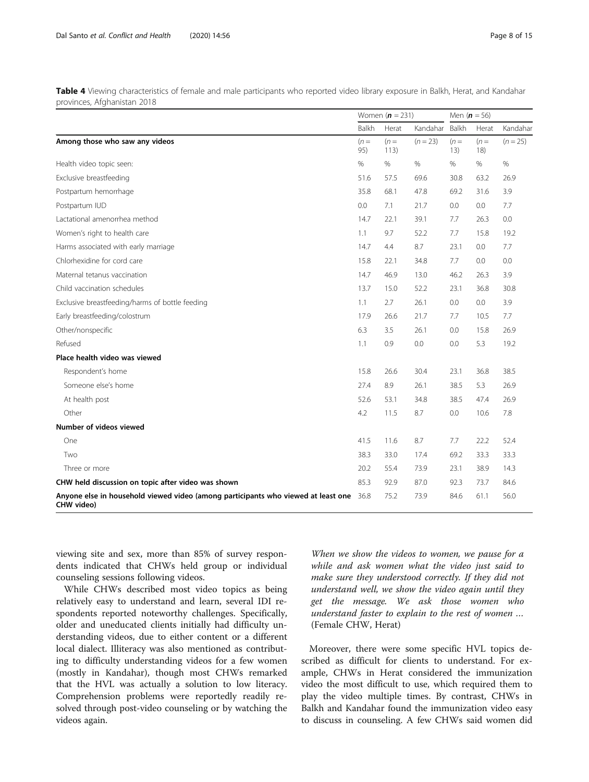<span id="page-7-0"></span>Table 4 Viewing characteristics of female and male participants who reported video library exposure in Balkh, Herat, and Kandahar provinces, Afghanistan 2018

|                                                                                                 | Women $(n = 231)$ |               |            | Men $(n = 56)$ |              |               |
|-------------------------------------------------------------------------------------------------|-------------------|---------------|------------|----------------|--------------|---------------|
|                                                                                                 | Balkh             | Herat         | Kandahar   | Balkh          | Herat        | Kandahar      |
| Among those who saw any videos                                                                  | $(n=$<br>95)      | $(n=$<br>113) | $(n = 23)$ | $(n=$<br>13)   | $(n=$<br>18) | $(n = 25)$    |
| Health video topic seen:                                                                        | %                 | %             | $\%$       | %              | $\%$         | $\frac{0}{0}$ |
| Exclusive breastfeeding                                                                         | 51.6              | 57.5          | 69.6       | 30.8           | 63.2         | 26.9          |
| Postpartum hemorrhage                                                                           | 35.8              | 68.1          | 47.8       | 69.2           | 31.6         | 3.9           |
| Postpartum IUD                                                                                  | 0.0               | 7.1           | 21.7       | 0.0            | 0.0          | 7.7           |
| Lactational amenorrhea method                                                                   | 14.7              | 22.1          | 39.1       | 7.7            | 26.3         | 0.0           |
| Women's right to health care                                                                    | 1.1               | 9.7           | 52.2       | 7.7            | 15.8         | 19.2          |
| Harms associated with early marriage                                                            | 14.7              | 4.4           | 8.7        | 23.1           | 0.0          | 7.7           |
| Chlorhexidine for cord care                                                                     | 15.8              | 22.1          | 34.8       | 7.7            | 0.0          | 0.0           |
| Maternal tetanus vaccination                                                                    | 14.7              | 46.9          | 13.0       | 46.2           | 26.3         | 3.9           |
| Child vaccination schedules                                                                     | 13.7              | 15.0          | 52.2       | 23.1           | 36.8         | 30.8          |
| Exclusive breastfeeding/harms of bottle feeding                                                 | 1.1               | 2.7           | 26.1       | 0.0            | 0.0          | 3.9           |
| Early breastfeeding/colostrum                                                                   | 17.9              | 26.6          | 21.7       | 7.7            | 10.5         | 7.7           |
| Other/nonspecific                                                                               | 6.3               | 3.5           | 26.1       | 0.0            | 15.8         | 26.9          |
| Refused                                                                                         | 1.1               | 0.9           | 0.0        | 0.0            | 5.3          | 19.2          |
| Place health video was viewed                                                                   |                   |               |            |                |              |               |
| Respondent's home                                                                               | 15.8              | 26.6          | 30.4       | 23.1           | 36.8         | 38.5          |
| Someone else's home                                                                             | 27.4              | 8.9           | 26.1       | 38.5           | 5.3          | 26.9          |
| At health post                                                                                  | 52.6              | 53.1          | 34.8       | 38.5           | 47.4         | 26.9          |
| Other                                                                                           | 4.2               | 11.5          | 8.7        | 0.0            | 10.6         | 7.8           |
| Number of videos viewed                                                                         |                   |               |            |                |              |               |
| One                                                                                             | 41.5              | 11.6          | 8.7        | 7.7            | 22.2         | 52.4          |
| Two                                                                                             | 38.3              | 33.0          | 17.4       | 69.2           | 33.3         | 33.3          |
| Three or more                                                                                   | 20.2              | 55.4          | 73.9       | 23.1           | 38.9         | 14.3          |
| CHW held discussion on topic after video was shown                                              | 85.3              | 92.9          | 87.0       | 92.3           | 73.7         | 84.6          |
| Anyone else in household viewed video (among participants who viewed at least one<br>CHW video) | 36.8              | 75.2          | 73.9       | 84.6           | 61.1         | 56.0          |

viewing site and sex, more than 85% of survey respondents indicated that CHWs held group or individual counseling sessions following videos.

While CHWs described most video topics as being relatively easy to understand and learn, several IDI respondents reported noteworthy challenges. Specifically, older and uneducated clients initially had difficulty understanding videos, due to either content or a different local dialect. Illiteracy was also mentioned as contributing to difficulty understanding videos for a few women (mostly in Kandahar), though most CHWs remarked that the HVL was actually a solution to low literacy. Comprehension problems were reportedly readily resolved through post-video counseling or by watching the videos again.

When we show the videos to women, we pause for a while and ask women what the video just said to make sure they understood correctly. If they did not understand well, we show the video again until they get the message. We ask those women who understand faster to explain to the rest of women … (Female CHW, Herat)

Moreover, there were some specific HVL topics described as difficult for clients to understand. For example, CHWs in Herat considered the immunization video the most difficult to use, which required them to play the video multiple times. By contrast, CHWs in Balkh and Kandahar found the immunization video easy to discuss in counseling. A few CHWs said women did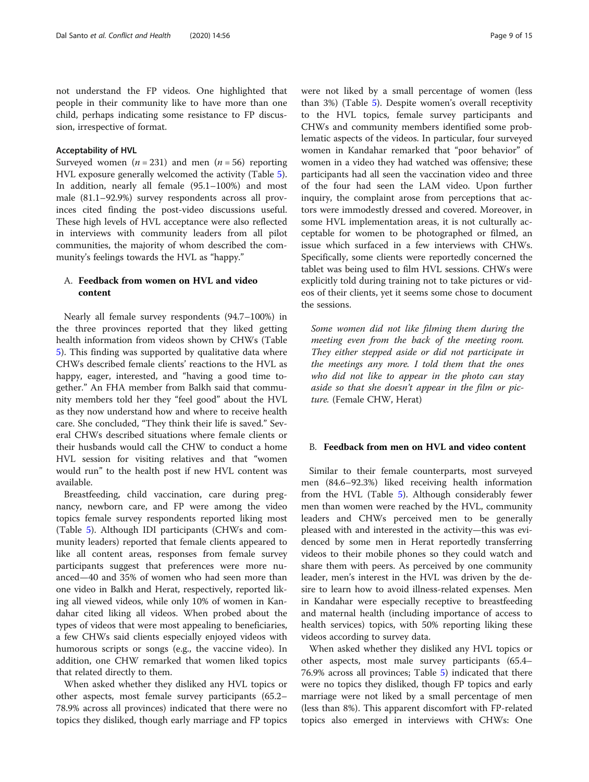not understand the FP videos. One highlighted that people in their community like to have more than one child, perhaps indicating some resistance to FP discussion, irrespective of format.

# Acceptability of HVL

Surveyed women  $(n = 231)$  and men  $(n = 56)$  reporting HVL exposure generally welcomed the activity (Table [5](#page-9-0)). In addition, nearly all female (95.1–100%) and most male (81.1–92.9%) survey respondents across all provinces cited finding the post-video discussions useful. These high levels of HVL acceptance were also reflected in interviews with community leaders from all pilot communities, the majority of whom described the community's feelings towards the HVL as "happy."

# A. Feedback from women on HVL and video content

Nearly all female survey respondents (94.7–100%) in the three provinces reported that they liked getting health information from videos shown by CHWs (Table [5\)](#page-9-0). This finding was supported by qualitative data where CHWs described female clients' reactions to the HVL as happy, eager, interested, and "having a good time together." An FHA member from Balkh said that community members told her they "feel good" about the HVL as they now understand how and where to receive health care. She concluded, "They think their life is saved." Several CHWs described situations where female clients or their husbands would call the CHW to conduct a home HVL session for visiting relatives and that "women would run" to the health post if new HVL content was available.

Breastfeeding, child vaccination, care during pregnancy, newborn care, and FP were among the video topics female survey respondents reported liking most (Table [5](#page-9-0)). Although IDI participants (CHWs and community leaders) reported that female clients appeared to like all content areas, responses from female survey participants suggest that preferences were more nuanced—40 and 35% of women who had seen more than one video in Balkh and Herat, respectively, reported liking all viewed videos, while only 10% of women in Kandahar cited liking all videos. When probed about the types of videos that were most appealing to beneficiaries, a few CHWs said clients especially enjoyed videos with humorous scripts or songs (e.g., the vaccine video). In addition, one CHW remarked that women liked topics that related directly to them.

When asked whether they disliked any HVL topics or other aspects, most female survey participants (65.2– 78.9% across all provinces) indicated that there were no topics they disliked, though early marriage and FP topics were not liked by a small percentage of women (less than 3%) (Table [5](#page-9-0)). Despite women's overall receptivity to the HVL topics, female survey participants and CHWs and community members identified some problematic aspects of the videos. In particular, four surveyed women in Kandahar remarked that "poor behavior" of women in a video they had watched was offensive; these participants had all seen the vaccination video and three of the four had seen the LAM video. Upon further inquiry, the complaint arose from perceptions that actors were immodestly dressed and covered. Moreover, in some HVL implementation areas, it is not culturally acceptable for women to be photographed or filmed, an issue which surfaced in a few interviews with CHWs. Specifically, some clients were reportedly concerned the tablet was being used to film HVL sessions. CHWs were explicitly told during training not to take pictures or videos of their clients, yet it seems some chose to document the sessions.

Some women did not like filming them during the meeting even from the back of the meeting room. They either stepped aside or did not participate in the meetings any more. I told them that the ones who did not like to appear in the photo can stay aside so that she doesn't appear in the film or picture. (Female CHW, Herat)

# B. Feedback from men on HVL and video content

Similar to their female counterparts, most surveyed men (84.6–92.3%) liked receiving health information from the HVL (Table [5](#page-9-0)). Although considerably fewer men than women were reached by the HVL, community leaders and CHWs perceived men to be generally pleased with and interested in the activity—this was evidenced by some men in Herat reportedly transferring videos to their mobile phones so they could watch and share them with peers. As perceived by one community leader, men's interest in the HVL was driven by the desire to learn how to avoid illness-related expenses. Men in Kandahar were especially receptive to breastfeeding and maternal health (including importance of access to health services) topics, with 50% reporting liking these videos according to survey data.

When asked whether they disliked any HVL topics or other aspects, most male survey participants (65.4– 76.9% across all provinces; Table [5](#page-9-0)) indicated that there were no topics they disliked, though FP topics and early marriage were not liked by a small percentage of men (less than 8%). This apparent discomfort with FP-related topics also emerged in interviews with CHWs: One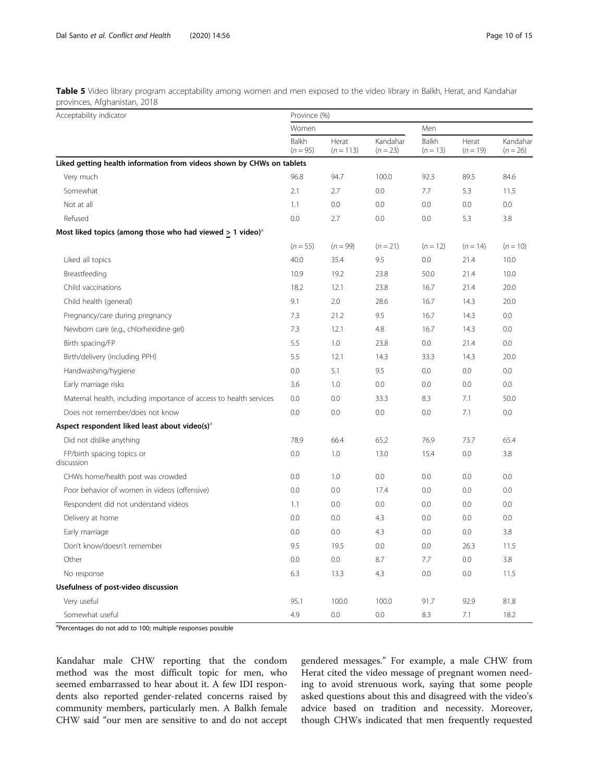<span id="page-9-0"></span>Table 5 Video library program acceptability among women and men exposed to the video library in Balkh, Herat, and Kandahar provinces, Afghanistan, 2018

| Acceptability indicator                                                 | Province (%)        |                      |                        |                            |                     |                        |  |  |
|-------------------------------------------------------------------------|---------------------|----------------------|------------------------|----------------------------|---------------------|------------------------|--|--|
|                                                                         | Women               |                      |                        | Men                        |                     |                        |  |  |
|                                                                         | Balkh<br>$(n = 95)$ | Herat<br>$(n = 113)$ | Kandahar<br>$(n = 23)$ | <b>Balkh</b><br>$(n = 13)$ | Herat<br>$(n = 19)$ | Kandahar<br>$(n = 26)$ |  |  |
| Liked getting health information from videos shown by CHWs on tablets   |                     |                      |                        |                            |                     |                        |  |  |
| Very much                                                               | 96.8                | 94.7                 | 100.0                  | 92.3                       | 89.5                | 84.6                   |  |  |
| Somewhat                                                                | 2.1                 | 2.7                  | 0.0                    | 7.7                        | 5.3                 | 11.5                   |  |  |
| Not at all                                                              | 1.1                 | 0.0                  | 0.0                    | 0.0                        | 0.0                 | 0.0                    |  |  |
| Refused                                                                 | 0.0                 | 2.7                  | 0.0                    | 0.0                        | 5.3                 | 3.8                    |  |  |
| Most liked topics (among those who had viewed $> 1$ video) <sup>d</sup> |                     |                      |                        |                            |                     |                        |  |  |
|                                                                         | $(n = 55)$          | $(n = 99)$           | $(n = 21)$             | $(n = 12)$                 | $(n = 14)$          | $(n = 10)$             |  |  |
| Liked all topics                                                        | 40.0                | 35.4                 | 9.5                    | 0.0                        | 21.4                | 10.0                   |  |  |
| Breastfeeding                                                           | 10.9                | 19.2                 | 23.8                   | 50.0                       | 21.4                | 10.0                   |  |  |
| Child vaccinations                                                      | 18.2                | 12.1                 | 23.8                   | 16.7                       | 21.4                | 20.0                   |  |  |
| Child health (general)                                                  | 9.1                 | 2.0                  | 28.6                   | 16.7                       | 14.3                | 20.0                   |  |  |
| Pregnancy/care during pregnancy                                         | 7.3                 | 21.2                 | 9.5                    | 16.7                       | 14.3                | 0.0                    |  |  |
| Newborn care (e.g., chlorhexidine gel)                                  | 7.3                 | 12.1                 | 4.8                    | 16.7                       | 14.3                | 0.0                    |  |  |
| Birth spacing/FP                                                        | 5.5                 | 1.0                  | 23.8                   | 0.0                        | 21.4                | 0.0                    |  |  |
| Birth/delivery (including PPH)                                          | 5.5                 | 12.1                 | 14.3                   | 33.3                       | 14.3                | 20.0                   |  |  |
| Handwashing/hygiene                                                     | 0.0                 | 5.1                  | 9.5                    | 0.0                        | 0.0                 | 0.0                    |  |  |
| Early marriage risks                                                    | 3.6                 | 1.0                  | 0.0                    | 0.0                        | 0.0                 | 0.0                    |  |  |
| Maternal health, including importance of access to health services      | 0.0                 | 0.0                  | 33.3                   | 8.3                        | 7.1                 | 50.0                   |  |  |
| Does not remember/does not know                                         | 0.0                 | 0.0                  | 0.0                    | 0.0                        | 7.1                 | 0.0                    |  |  |
| Aspect respondent liked least about video(s) <sup>a</sup>               |                     |                      |                        |                            |                     |                        |  |  |
| Did not dislike anything                                                | 78.9                | 66.4                 | 65.2                   | 76.9                       | 73.7                | 65.4                   |  |  |
| FP/birth spacing topics or<br>discussion                                | 0.0                 | 1.0                  | 13.0                   | 15.4                       | 0.0                 | 3.8                    |  |  |
| CHWs home/health post was crowded                                       | 0.0                 | 1.0                  | 0.0                    | 0.0                        | 0.0                 | 0.0                    |  |  |
| Poor behavior of women in videos (offensive)                            | 0.0                 | 0.0                  | 17.4                   | 0.0                        | 0.0                 | 0.0                    |  |  |
| Respondent did not understand videos                                    | 1.1                 | 0.0                  | 0.0                    | 0.0                        | 0.0                 | 0.0                    |  |  |
| Delivery at home                                                        | 0.0                 | 0.0                  | 4.3                    | 0.0                        | 0.0                 | 0.0                    |  |  |
| Early marriage                                                          | 0.0                 | 0.0                  | 4.3                    | 0.0                        | 0.0                 | 3.8                    |  |  |
| Don't know/doesn't remember                                             | 9.5                 | 19.5                 | 0.0                    | 0.0                        | 26.3                | 11.5                   |  |  |
| Other                                                                   | 0.0                 | 0.0                  | 8.7                    | 7.7                        | 0.0                 | 3.8                    |  |  |
| No response                                                             | 6.3                 | 13.3                 | 4.3                    | 0.0                        | 0.0                 | 11.5                   |  |  |
| Usefulness of post-video discussion                                     |                     |                      |                        |                            |                     |                        |  |  |
| Very useful                                                             | 95.1                | 100.0                | 100.0                  | 91.7                       | 92.9                | 81.8                   |  |  |
| Somewhat useful                                                         | 4.9                 | 0.0                  | 0.0                    | 8.3                        | 7.1                 | 18.2                   |  |  |

<sup>a</sup>Percentages do not add to 100; multiple responses possible

Kandahar male CHW reporting that the condom method was the most difficult topic for men, who seemed embarrassed to hear about it. A few IDI respondents also reported gender-related concerns raised by community members, particularly men. A Balkh female CHW said "our men are sensitive to and do not accept

gendered messages." For example, a male CHW from Herat cited the video message of pregnant women needing to avoid strenuous work, saying that some people asked questions about this and disagreed with the video's advice based on tradition and necessity. Moreover, though CHWs indicated that men frequently requested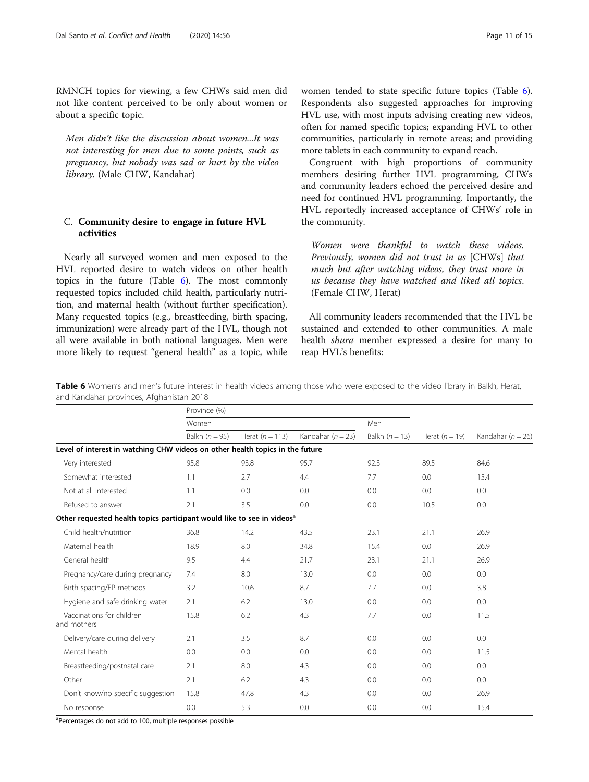RMNCH topics for viewing, a few CHWs said men did not like content perceived to be only about women or about a specific topic.

Men didn't like the discussion about women...It was not interesting for men due to some points, such as pregnancy, but nobody was sad or hurt by the video library. (Male CHW, Kandahar)

# C. Community desire to engage in future HVL activities

Nearly all surveyed women and men exposed to the HVL reported desire to watch videos on other health topics in the future (Table 6). The most commonly requested topics included child health, particularly nutrition, and maternal health (without further specification). Many requested topics (e.g., breastfeeding, birth spacing, immunization) were already part of the HVL, though not all were available in both national languages. Men were more likely to request "general health" as a topic, while women tended to state specific future topics (Table 6). Respondents also suggested approaches for improving HVL use, with most inputs advising creating new videos, often for named specific topics; expanding HVL to other communities, particularly in remote areas; and providing more tablets in each community to expand reach.

Congruent with high proportions of community members desiring further HVL programming, CHWs and community leaders echoed the perceived desire and need for continued HVL programming. Importantly, the HVL reportedly increased acceptance of CHWs' role in the community.

Women were thankful to watch these videos. Previously, women did not trust in us [CHWs] that much but after watching videos, they trust more in us because they have watched and liked all topics. (Female CHW, Herat)

All community leaders recommended that the HVL be sustained and extended to other communities. A male health shura member expressed a desire for many to reap HVL's benefits:

Table 6 Women's and men's future interest in health videos among those who were exposed to the video library in Balkh, Herat, and Kandahar provinces, Afghanistan 2018

|                                                                                    | Province (%)     |                   |                       |                  |                  |                       |  |
|------------------------------------------------------------------------------------|------------------|-------------------|-----------------------|------------------|------------------|-----------------------|--|
|                                                                                    | Women            |                   |                       | Men              |                  | Kandahar ( $n = 26$ ) |  |
|                                                                                    | Balkh $(n = 95)$ | Herat $(n = 113)$ | Kandahar ( $n = 23$ ) | Balkh $(n = 13)$ | Herat $(n = 19)$ |                       |  |
| Level of interest in watching CHW videos on other health topics in the future      |                  |                   |                       |                  |                  |                       |  |
| Very interested                                                                    | 95.8             | 93.8              | 95.7                  | 92.3             | 89.5             | 84.6                  |  |
| Somewhat interested                                                                | 1.1              | 2.7               | 4.4                   | 7.7              | 0.0              | 15.4                  |  |
| Not at all interested                                                              | 1.1              | 0.0               | 0.0                   | 0.0              | 0.0              | 0.0                   |  |
| Refused to answer                                                                  | 2.1              | 3.5               | 0.0                   | 0.0              | 10.5             | 0.0                   |  |
| Other requested health topics participant would like to see in videos <sup>3</sup> |                  |                   |                       |                  |                  |                       |  |
| Child health/nutrition                                                             | 36.8             | 14.2              | 43.5                  | 23.1             | 21.1             | 26.9                  |  |
| Maternal health                                                                    | 18.9             | 8.0               | 34.8                  | 15.4             | 0.0              | 26.9                  |  |
| General health                                                                     | 9.5              | 4.4               | 21.7                  | 23.1             | 21.1             | 26.9                  |  |
| Pregnancy/care during pregnancy                                                    | 7.4              | 8.0               | 13.0                  | 0.0              | 0.0              | 0.0                   |  |
| Birth spacing/FP methods                                                           | 3.2              | 10.6              | 8.7                   | 7.7              | 0.0              | 3.8                   |  |
| Hygiene and safe drinking water                                                    | 2.1              | 6.2               | 13.0                  | 0.0              | 0.0              | 0.0                   |  |
| Vaccinations for children<br>and mothers                                           | 15.8             | 6.2               | 4.3                   | 7.7              | 0.0              | 11.5                  |  |
| Delivery/care during delivery                                                      | 2.1              | 3.5               | 8.7                   | 0.0              | 0.0              | 0.0                   |  |
| Mental health                                                                      | 0.0              | 0.0               | 0.0                   | 0.0              | 0.0              | 11.5                  |  |
| Breastfeeding/postnatal care                                                       | 2.1              | 8.0               | 4.3                   | 0.0              | 0.0              | 0.0                   |  |
| Other                                                                              | 2.1              | 6.2               | 4.3                   | 0.0              | 0.0              | 0.0                   |  |
| Don't know/no specific suggestion                                                  | 15.8             | 47.8              | 4.3                   | 0.0              | 0.0              | 26.9                  |  |
| No response                                                                        | 0.0              | 5.3               | 0.0                   | 0.0              | 0.0              | 15.4                  |  |

<sup>a</sup>Percentages do not add to 100, multiple responses possible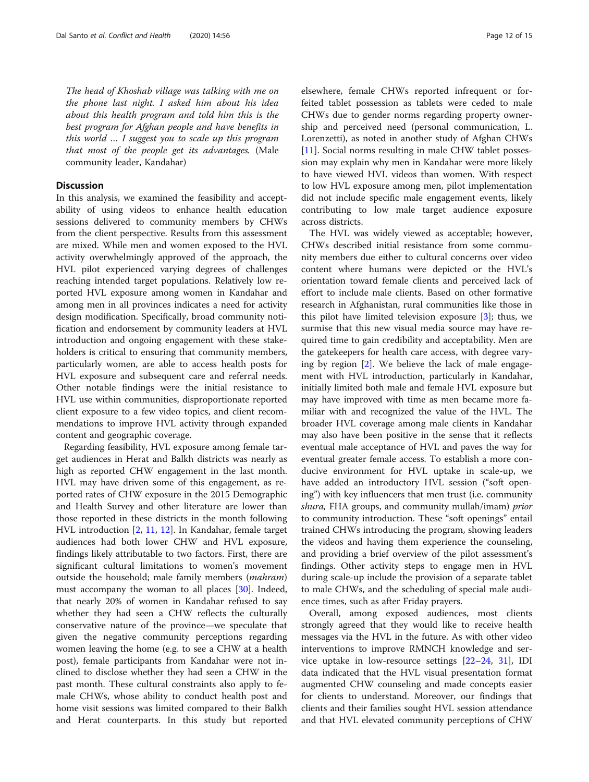The head of Khoshab village was talking with me on the phone last night. I asked him about his idea about this health program and told him this is the best program for Afghan people and have benefits in this world … I suggest you to scale up this program that most of the people get its advantages. (Male community leader, Kandahar)

# **Discussion**

In this analysis, we examined the feasibility and acceptability of using videos to enhance health education sessions delivered to community members by CHWs from the client perspective. Results from this assessment are mixed. While men and women exposed to the HVL activity overwhelmingly approved of the approach, the HVL pilot experienced varying degrees of challenges reaching intended target populations. Relatively low reported HVL exposure among women in Kandahar and among men in all provinces indicates a need for activity design modification. Specifically, broad community notification and endorsement by community leaders at HVL introduction and ongoing engagement with these stakeholders is critical to ensuring that community members, particularly women, are able to access health posts for HVL exposure and subsequent care and referral needs. Other notable findings were the initial resistance to HVL use within communities, disproportionate reported client exposure to a few video topics, and client recommendations to improve HVL activity through expanded content and geographic coverage.

Regarding feasibility, HVL exposure among female target audiences in Herat and Balkh districts was nearly as high as reported CHW engagement in the last month. HVL may have driven some of this engagement, as reported rates of CHW exposure in the 2015 Demographic and Health Survey and other literature are lower than those reported in these districts in the month following HVL introduction [\[2](#page-13-0), [11](#page-13-0), [12](#page-13-0)]. In Kandahar, female target audiences had both lower CHW and HVL exposure, findings likely attributable to two factors. First, there are significant cultural limitations to women's movement outside the household; male family members (mahram) must accompany the woman to all places [\[30\]](#page-14-0). Indeed, that nearly 20% of women in Kandahar refused to say whether they had seen a CHW reflects the culturally conservative nature of the province—we speculate that given the negative community perceptions regarding women leaving the home (e.g. to see a CHW at a health post), female participants from Kandahar were not inclined to disclose whether they had seen a CHW in the past month. These cultural constraints also apply to female CHWs, whose ability to conduct health post and home visit sessions was limited compared to their Balkh and Herat counterparts. In this study but reported elsewhere, female CHWs reported infrequent or forfeited tablet possession as tablets were ceded to male CHWs due to gender norms regarding property ownership and perceived need (personal communication, L. Lorenzetti), as noted in another study of Afghan CHWs [[11\]](#page-13-0). Social norms resulting in male CHW tablet possession may explain why men in Kandahar were more likely to have viewed HVL videos than women. With respect to low HVL exposure among men, pilot implementation did not include specific male engagement events, likely contributing to low male target audience exposure across districts.

The HVL was widely viewed as acceptable; however, CHWs described initial resistance from some community members due either to cultural concerns over video content where humans were depicted or the HVL's orientation toward female clients and perceived lack of effort to include male clients. Based on other formative research in Afghanistan, rural communities like those in this pilot have limited television exposure [[3\]](#page-13-0); thus, we surmise that this new visual media source may have required time to gain credibility and acceptability. Men are the gatekeepers for health care access, with degree varying by region [[2](#page-13-0)]. We believe the lack of male engagement with HVL introduction, particularly in Kandahar, initially limited both male and female HVL exposure but may have improved with time as men became more familiar with and recognized the value of the HVL. The broader HVL coverage among male clients in Kandahar may also have been positive in the sense that it reflects eventual male acceptance of HVL and paves the way for eventual greater female access. To establish a more conducive environment for HVL uptake in scale-up, we have added an introductory HVL session ("soft opening") with key influencers that men trust (i.e. community shura, FHA groups, and community mullah/imam) prior to community introduction. These "soft openings" entail trained CHWs introducing the program, showing leaders the videos and having them experience the counseling, and providing a brief overview of the pilot assessment's findings. Other activity steps to engage men in HVL during scale-up include the provision of a separate tablet to male CHWs, and the scheduling of special male audience times, such as after Friday prayers.

Overall, among exposed audiences, most clients strongly agreed that they would like to receive health messages via the HVL in the future. As with other video interventions to improve RMNCH knowledge and service uptake in low-resource settings [[22](#page-14-0)–[24](#page-14-0), [31\]](#page-14-0), IDI data indicated that the HVL visual presentation format augmented CHW counseling and made concepts easier for clients to understand. Moreover, our findings that clients and their families sought HVL session attendance and that HVL elevated community perceptions of CHW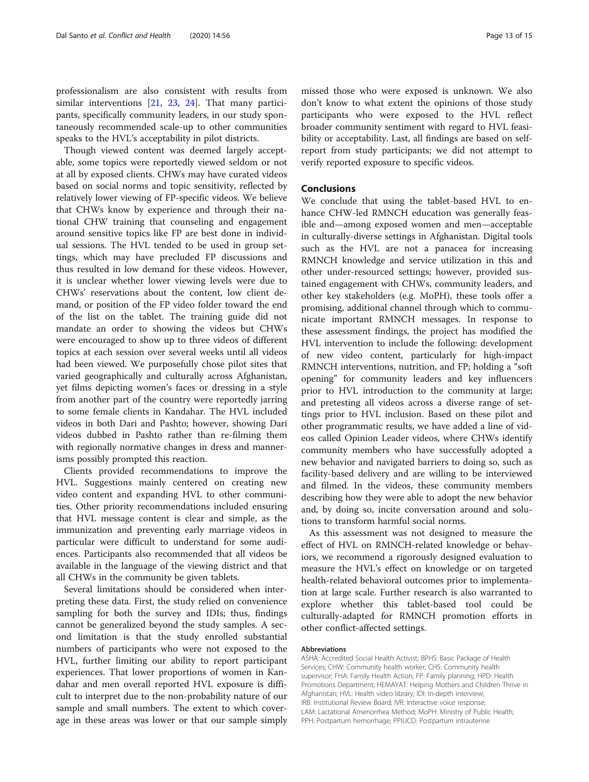professionalism are also consistent with results from similar interventions [\[21](#page-14-0), [23,](#page-14-0) [24](#page-14-0)]. That many participants, specifically community leaders, in our study spontaneously recommended scale-up to other communities speaks to the HVL's acceptability in pilot districts.

Though viewed content was deemed largely acceptable, some topics were reportedly viewed seldom or not at all by exposed clients. CHWs may have curated videos based on social norms and topic sensitivity, reflected by relatively lower viewing of FP-specific videos. We believe that CHWs know by experience and through their national CHW training that counseling and engagement around sensitive topics like FP are best done in individual sessions. The HVL tended to be used in group settings, which may have precluded FP discussions and thus resulted in low demand for these videos. However, it is unclear whether lower viewing levels were due to CHWs' reservations about the content, low client demand, or position of the FP video folder toward the end of the list on the tablet. The training guide did not mandate an order to showing the videos but CHWs were encouraged to show up to three videos of different topics at each session over several weeks until all videos had been viewed. We purposefully chose pilot sites that varied geographically and culturally across Afghanistan, yet films depicting women's faces or dressing in a style from another part of the country were reportedly jarring to some female clients in Kandahar. The HVL included videos in both Dari and Pashto; however, showing Dari videos dubbed in Pashto rather than re-filming them with regionally normative changes in dress and mannerisms possibly prompted this reaction.

Clients provided recommendations to improve the HVL. Suggestions mainly centered on creating new video content and expanding HVL to other communities. Other priority recommendations included ensuring that HVL message content is clear and simple, as the immunization and preventing early marriage videos in particular were difficult to understand for some audiences. Participants also recommended that all videos be available in the language of the viewing district and that all CHWs in the community be given tablets.

Several limitations should be considered when interpreting these data. First, the study relied on convenience sampling for both the survey and IDIs; thus, findings cannot be generalized beyond the study samples. A second limitation is that the study enrolled substantial numbers of participants who were not exposed to the HVL, further limiting our ability to report participant experiences. That lower proportions of women in Kandahar and men overall reported HVL exposure is difficult to interpret due to the non-probability nature of our sample and small numbers. The extent to which coverage in these areas was lower or that our sample simply

missed those who were exposed is unknown. We also don't know to what extent the opinions of those study participants who were exposed to the HVL reflect broader community sentiment with regard to HVL feasibility or acceptability. Last, all findings are based on selfreport from study participants; we did not attempt to verify reported exposure to specific videos.

# Conclusions

We conclude that using the tablet-based HVL to enhance CHW-led RMNCH education was generally feasible and—among exposed women and men—acceptable in culturally-diverse settings in Afghanistan. Digital tools such as the HVL are not a panacea for increasing RMNCH knowledge and service utilization in this and other under-resourced settings; however, provided sustained engagement with CHWs, community leaders, and other key stakeholders (e.g. MoPH), these tools offer a promising, additional channel through which to communicate important RMNCH messages. In response to these assessment findings, the project has modified the HVL intervention to include the following: development of new video content, particularly for high-impact RMNCH interventions, nutrition, and FP; holding a "soft opening" for community leaders and key influencers prior to HVL introduction to the community at large; and pretesting all videos across a diverse range of settings prior to HVL inclusion. Based on these pilot and other programmatic results, we have added a line of videos called Opinion Leader videos, where CHWs identify community members who have successfully adopted a new behavior and navigated barriers to doing so, such as facility-based delivery and are willing to be interviewed and filmed. In the videos, these community members describing how they were able to adopt the new behavior and, by doing so, incite conversation around and solutions to transform harmful social norms.

As this assessment was not designed to measure the effect of HVL on RMNCH-related knowledge or behaviors, we recommend a rigorously designed evaluation to measure the HVL's effect on knowledge or on targeted health-related behavioral outcomes prior to implementation at large scale. Further research is also warranted to explore whether this tablet-based tool could be culturally-adapted for RMNCH promotion efforts in other conflict-affected settings.

# Abbreviations

ASHA: Accredited Social Health Activist; BPHS: Basic Package of Health Services; CHW: Community health worker; CHS: Community health supervisor; FHA: Family Health Action; FP: Family planning; HPD: Health Promotions Department; HEMAYAT: Helping Mothers and Children Thrive in Afghanistan; HVL: Health video library; IDI: In-depth interview; IRB: Institutional Review Board; IVR: Interactive voice response; LAM: Lactational Amenorrhea Method; MoPH: Ministry of Public Health; PPH: Postpartum hemorrhage; PPIUCD: Postpartum intrauterine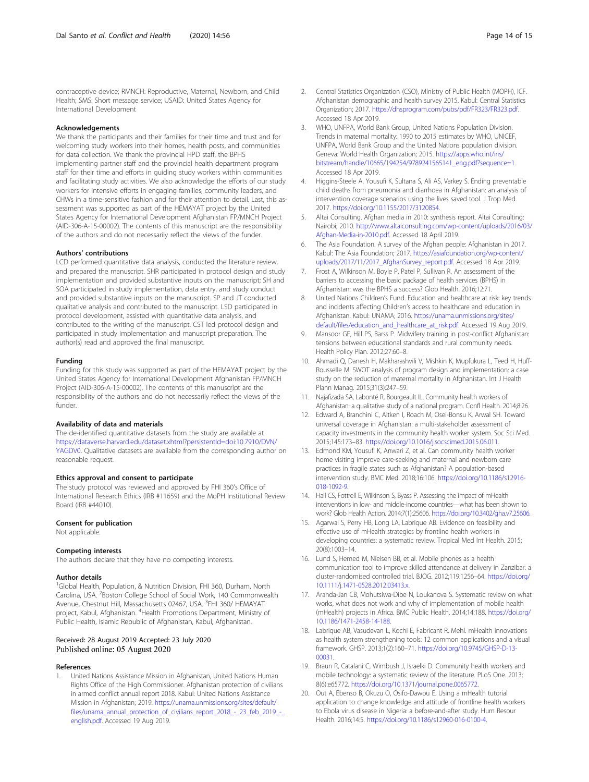<span id="page-13-0"></span>contraceptive device; RMNCH: Reproductive, Maternal, Newborn, and Child Health; SMS: Short message service; USAID: United States Agency for International Development

# Acknowledgements

We thank the participants and their families for their time and trust and for welcoming study workers into their homes, health posts, and communities for data collection. We thank the provincial HPD staff, the BPHS implementing partner staff and the provincial health department program staff for their time and efforts in guiding study workers within communities and facilitating study activities. We also acknowledge the efforts of our study workers for intensive efforts in engaging families, community leaders, and CHWs in a time-sensitive fashion and for their attention to detail. Last, this assessment was supported as part of the HEMAYAT project by the United States Agency for International Development Afghanistan FP/MNCH Project (AID-306-A-15-00002). The contents of this manuscript are the responsibility of the authors and do not necessarily reflect the views of the funder.

# Authors' contributions

LCD performed quantitative data analysis, conducted the literature review, and prepared the manuscript. SHR participated in protocol design and study implementation and provided substantive inputs on the manuscript; SH and SOA participated in study implementation, data entry, and study conduct and provided substantive inputs on the manuscript. SP and JT conducted qualitative analysis and contributed to the manuscript. LSD participated in protocol development, assisted with quantitative data analysis, and contributed to the writing of the manuscript. CST led protocol design and participated in study implementation and manuscript preparation. The author(s) read and approved the final manuscript.

# Funding

Funding for this study was supported as part of the HEMAYAT project by the United States Agency for International Development Afghanistan FP/MNCH Project (AID-306-A-15-00002). The contents of this manuscript are the responsibility of the authors and do not necessarily reflect the views of the funder.

# Availability of data and materials

The de-identified quantitative datasets from the study are available at [https://dataverse.harvard.edu/dataset.xhtml?persistentId=doi:10.7910/DVN/](https://dataverse.harvard.edu/dataset.xhtml?persistentId=doi:10.7910/DVN/YAGDV0) [YAGDV0.](https://dataverse.harvard.edu/dataset.xhtml?persistentId=doi:10.7910/DVN/YAGDV0) Qualitative datasets are available from the corresponding author on reasonable request.

# Ethics approval and consent to participate

The study protocol was reviewed and approved by FHI 360's Office of International Research Ethics (IRB #11659) and the MoPH Institutional Review Board (IRB #44010).

# Consent for publication

Not applicable.

# Competing interests

The authors declare that they have no competing interests.

# Author details

<sup>1</sup>Global Health, Population, & Nutrition Division, FHI 360, Durham, North Carolina, USA. <sup>2</sup> Boston College School of Social Work, 140 Commonwealth Avenue, Chestnut Hill, Massachusetts 02467, USA. <sup>3</sup>FHI 360/ HEMAYAT project, Kabul, Afghanistan. <sup>4</sup>Health Promotions Department, Ministry of Public Health, Islamic Republic of Afghanistan, Kabul, Afghanistan.

# Received: 28 August 2019 Accepted: 23 July 2020 Published online: 05 August 2020

# References

1. United Nations Assistance Mission in Afghanistan, United Nations Human Rights Office of the High Commissioner. Afghanistan protection of civilians in armed conflict annual report 2018. Kabul: United Nations Assistance Mission in Afghanistan; 2019. [https://unama.unmissions.org/sites/default/](https://unama.unmissions.org/sites/default/files/unama_annual_protection_of_civilians_report_2018_-_23_feb_2019_-_english.pdf) [files/unama\\_annual\\_protection\\_of\\_civilians\\_report\\_2018\\_-\\_23\\_feb\\_2019\\_-\\_](https://unama.unmissions.org/sites/default/files/unama_annual_protection_of_civilians_report_2018_-_23_feb_2019_-_english.pdf) [english.pdf.](https://unama.unmissions.org/sites/default/files/unama_annual_protection_of_civilians_report_2018_-_23_feb_2019_-_english.pdf) Accessed 19 Aug 2019.

- 2. Central Statistics Organization (CSO), Ministry of Public Health (MOPH), ICF. Afghanistan demographic and health survey 2015. Kabul: Central Statistics Organization; 2017. <https://dhsprogram.com/pubs/pdf/FR323/FR323.pdf>. Accessed 18 Apr 2019.
- 3. WHO, UNFPA, World Bank Group, United Nations Population Division. Trends in maternal mortality: 1990 to 2015 estimates by WHO, UNICEF, UNFPA, World Bank Group and the United Nations population division. Geneva: World Health Organization; 2015. [https://apps.who.int/iris/](https://apps.who.int/iris/bitstream/handle/10665/194254/9789241565141_eng.pdf?sequence=1) [bitstream/handle/10665/194254/9789241565141\\_eng.pdf?sequence=1.](https://apps.who.int/iris/bitstream/handle/10665/194254/9789241565141_eng.pdf?sequence=1) Accessed 18 Apr 2019.
- 4. Higgins-Steele A, Yousufi K, Sultana S, Ali AS, Varkey S. Ending preventable child deaths from pneumonia and diarrhoea in Afghanistan: an analysis of intervention coverage scenarios using the lives saved tool. J Trop Med. 2017. [https://doi.org/10.1155/2017/3120854.](https://doi.org/10.1155/2017/3120854)
- 5. Altai Consulting. Afghan media in 2010: synthesis report. Altai Consulting: Nairobi; 2010. [http://www.altaiconsulting.com/wp-content/uploads/2016/03/](http://www.altaiconsulting.com/wp-content/uploads/2016/03/Afghan-Media-in-2010.pdf) [Afghan-Media-in-2010.pdf.](http://www.altaiconsulting.com/wp-content/uploads/2016/03/Afghan-Media-in-2010.pdf) Accessed 18 April 2019.
- The Asia Foundation. A survey of the Afghan people: Afghanistan in 2017. Kabul: The Asia Foundation; 2017. [https://asiafoundation.org/wp-content/](https://asiafoundation.org/wp-content/uploads/2017/11/2017_AfghanSurvey_report.pdf) [uploads/2017/11/2017\\_AfghanSurvey\\_report.pdf](https://asiafoundation.org/wp-content/uploads/2017/11/2017_AfghanSurvey_report.pdf). Accessed 18 Apr 2019.
- 7. Frost A, Wilkinson M, Boyle P, Patel P, Sullivan R. An assessment of the barriers to accessing the basic package of health services (BPHS) in Afghanistan: was the BPHS a success? Glob Health. 2016;12:71.
- 8. United Nations Children's Fund. Education and healthcare at risk: key trends and incidents affecting Children's access to healthcare and education in Afghanistan. Kabul: UNAMA; 2016. [https://unama.unmissions.org/sites/](https://unama.unmissions.org/sites/default/files/education_and_healthcare_at_risk.pdf) [default/files/education\\_and\\_healthcare\\_at\\_risk.pdf.](https://unama.unmissions.org/sites/default/files/education_and_healthcare_at_risk.pdf) Accessed 19 Aug 2019.
- 9. Mansoor GF, Hill PS, Barss P. Midwifery training in post-conflict Afghanistan: tensions between educational standards and rural community needs. Health Policy Plan. 2012;27:60–8.
- 10. Ahmadi Q, Danesh H, Makharashvili V, Mishkin K, Mupfukura L, Teed H, Huff-Rousselle M. SWOT analysis of program design and implementation: a case study on the reduction of maternal mortality in Afghanistan. Int J Health Plann Manag. 2015;31(3):247–59.
- 11. Najafizada SA, Labonté R, Bourgeault IL. Community health workers of Afghanistan: a qualitative study of a national program. Confl Health. 2014;8:26.
- 12. Edward A, Branchini C, Aitken I, Roach M, Osei-Bonsu K, Arwal SH. Toward universal coverage in Afghanistan: a multi-stakeholder assessment of capacity investments in the community health worker system. Soc Sci Med. 2015;145:173–83. [https://doi.org/10.1016/j.socscimed.2015.06.011.](https://doi.org/10.1016/j.socscimed.2015.06.011)
- 13. Edmond KM, Yousufi K, Anwari Z, et al. Can community health worker home visiting improve care-seeking and maternal and newborn care practices in fragile states such as Afghanistan? A population-based intervention study. BMC Med. 2018;16:106. [https://doi.org/10.1186/s12916-](https://doi.org/10.1186/s12916-018-1092-9) [018-1092-9](https://doi.org/10.1186/s12916-018-1092-9).
- 14. Hall CS, Fottrell E, Wilkinson S, Byass P. Assessing the impact of mHealth interventions in low- and middle-income countries—what has been shown to work? Glob Health Action. 2014;7(1):25606. <https://doi.org/10.3402/gha.v7.25606>.
- 15. Agarwal S, Perry HB, Long LA, Labrique AB. Evidence on feasibility and effective use of mHealth strategies by frontline health workers in developing countries: a systematic review. Tropical Med Int Health. 2015; 20(8):1003–14.
- 16. Lund S, Hemed M, Nielsen BB, et al. Mobile phones as a health communication tool to improve skilled attendance at delivery in Zanzibar: a cluster-randomised controlled trial. BJOG. 2012;119:1256–64. [https://doi.org/](https://doi.org/10.1111/j.1471-0528.2012.03413.x) [10.1111/j.1471-0528.2012.03413.x](https://doi.org/10.1111/j.1471-0528.2012.03413.x).
- 17. Aranda-Jan CB, Mohutsiwa-Dibe N, Loukanova S. Systematic review on what works, what does not work and why of implementation of mobile health (mHealth) projects in Africa. BMC Public Health. 2014;14:188. [https://doi.org/](https://doi.org/10.1186/1471-2458-14-188) [10.1186/1471-2458-14-188](https://doi.org/10.1186/1471-2458-14-188).
- 18. Labrique AB, Vasudevan L, Kochi E, Fabricant R. Mehl. mHealth innovations as health system strengthening tools: 12 common applications and a visual framework. GHSP. 2013;1(2):160–71. [https://doi.org/10.9745/GHSP-D-13-](https://doi.org/10.9745/GHSP-D-13-00031) [00031.](https://doi.org/10.9745/GHSP-D-13-00031)
- 19. Braun R, Catalani C, Wimbush J, Israelki D. Community health workers and mobile technology: a systematic review of the literature. PLoS One. 2013; 8(6):e65772. <https://doi.org/10.1371/journal.pone.0065772>.
- 20. Out A, Ebenso B, Okuzu O, Osifo-Dawou E. Using a mHealth tutorial application to change knowledge and attitude of frontline health workers to Ebola virus disease in Nigeria: a before-and-after study. Hum Resour Health. 2016;14:5. [https://doi.org/10.1186/s12960-016-0100-4.](https://doi.org/10.1186/s12960-016-0100-4)